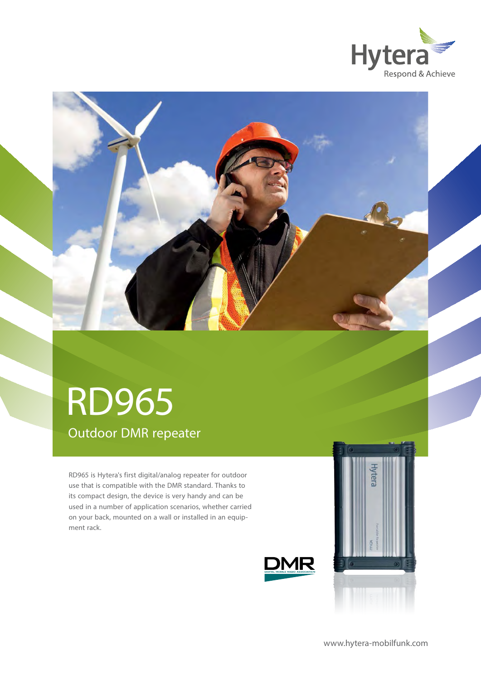



# Outdoor DMR repeater RD965

RD965 is Hytera's first digital/analog repeater for outdoor use that is compatible with the DMR standard. Thanks to its compact design, the device is very handy and can be used in a number of application scenarios, whether carried on your back, mounted on a wall or installed in an equipment rack.



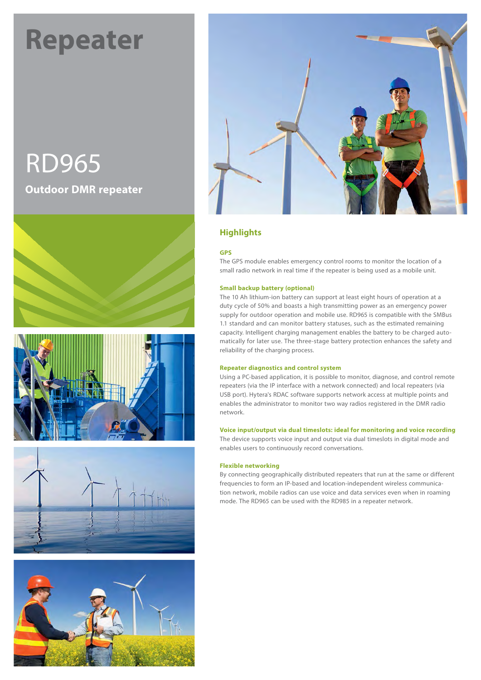# **Repeater**

# RD965 **Outdoor DMR repeater**











## **Highlights**

#### **GPS**

The GPS module enables emergency control rooms to monitor the location of a small radio network in real time if the repeater is being used as a mobile unit.

#### **Small backup battery (optional)**

The 10 Ah lithium-ion battery can support at least eight hours of operation at a duty cycle of 50% and boasts a high transmitting power as an emergency power supply for outdoor operation and mobile use. RD965 is compatible with the SMBus 1.1 standard and can monitor battery statuses, such as the estimated remaining capacity. Intelligent charging management enables the battery to be charged automatically for later use. The three-stage battery protection enhances the safety and reliability of the charging process.

#### **Repeater diagnostics and control system**

Using a PC-based application, it is possible to monitor, diagnose, and control remote repeaters (via the IP interface with a network connected) and local repeaters (via USB port). Hytera's RDAC software supports network access at multiple points and enables the administrator to monitor two way radios registered in the DMR radio network.

#### **Voice input/output via dual timeslots: ideal for monitoring and voice recording**

The device supports voice input and output via dual timeslots in digital mode and enables users to continuously record conversations.

#### **Flexible networking**

By connecting geographically distributed repeaters that run at the same or different frequencies to form an IP-based and location-independent wireless communication network, mobile radios can use voice and data services even when in roaming mode. The RD965 can be used with the RD985 in a repeater network.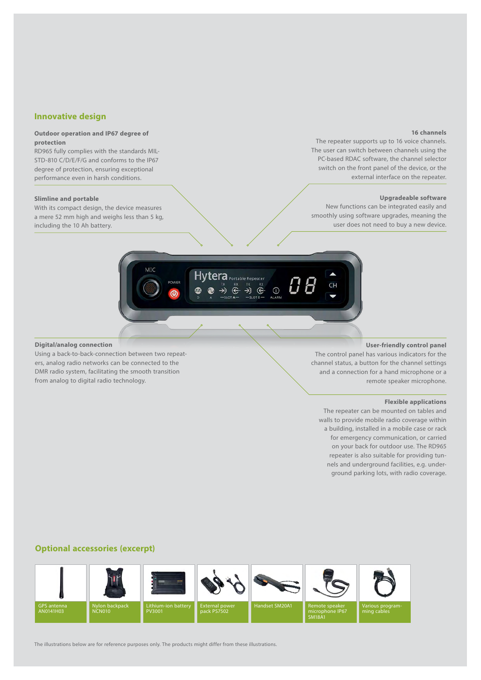#### **Innovative design**

#### **Outdoor operation and IP67 degree of protection**

RD965 fully complies with the standards MIL-STD-810 C/D/E/F/G and conforms to the IP67 degree of protection, ensuring exceptional performance even in harsh conditions.

#### **Slimline and portable**

With its compact design, the device measures a mere 52 mm high and weighs less than 5 kg, including the 10 Ah battery.

#### **16 channels**

The repeater supports up to 16 voice channels. The user can switch between channels using the PC-based RDAC software, the channel selector switch on the front panel of the device, or the external interface on the repeater.

#### **Upgradeable software**

New functions can be integrated easily and smoothly using software upgrades, meaning the user does not need to buy a new device.



#### **Digital/analog connection**

Using a back-to-back-connection between two repeaters, analog radio networks can be connected to the DMR radio system, facilitating the smooth transition from analog to digital radio technology.

#### **User-friendly control panel**

The control panel has various indicators for the channel status, a button for the channel settings and a connection for a hand microphone or a remote speaker microphone.

#### **Flexible applications**

The repeater can be mounted on tables and walls to provide mobile radio coverage within a building, installed in a mobile case or rack for emergency communication, or carried on your back for outdoor use. The RD965 repeater is also suitable for providing tunnels and underground facilities, e.g. underground parking lots, with radio coverage.

#### **Optional accessories (excerpt)**



The illustrations below are for reference purposes only. The products might differ from these illustrations.